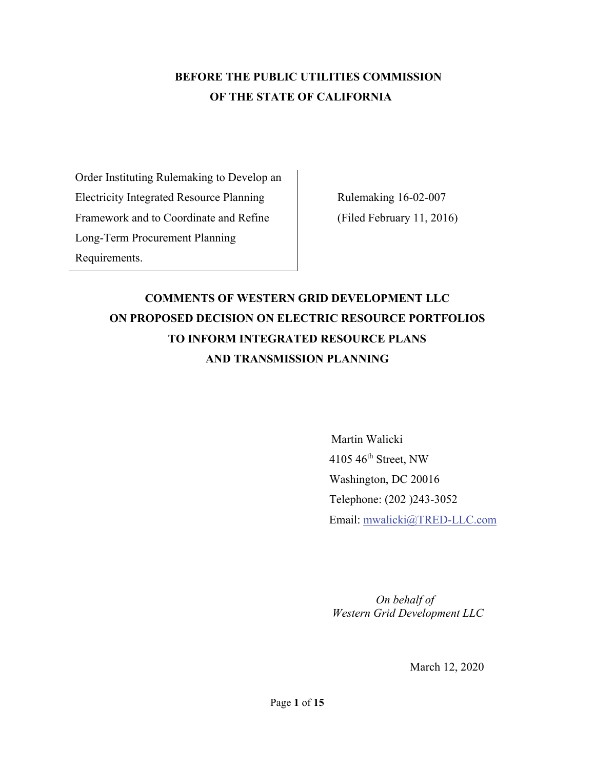## **BEFORE THE PUBLIC UTILITIES COMMISSION OF THE STATE OF CALIFORNIA**

Order Instituting Rulemaking to Develop an Electricity Integrated Resource Planning Framework and to Coordinate and Refine Long-Term Procurement Planning Requirements.

Rulemaking 16-02-007 (Filed February 11, 2016)

# **COMMENTS OF WESTERN GRID DEVELOPMENT LLC ON PROPOSED DECISION ON ELECTRIC RESOURCE PORTFOLIOS TO INFORM INTEGRATED RESOURCE PLANS AND TRANSMISSION PLANNING**

 Martin Walicki 4105 46th Street, NW Washington, DC 20016 Telephone: (202 )243-3052 Email: mwalicki@TRED-LLC.com

 *On behalf of Western Grid Development LLC* 

March 12, 2020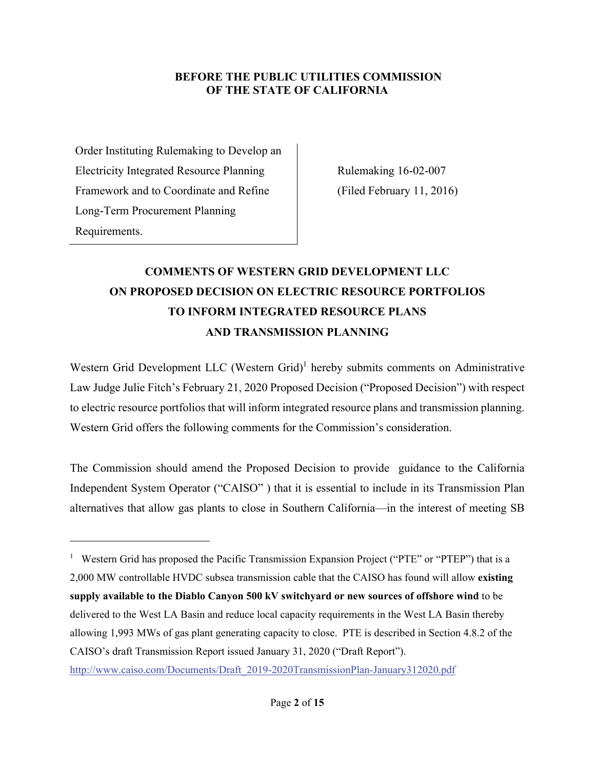#### **BEFORE THE PUBLIC UTILITIES COMMISSION OF THE STATE OF CALIFORNIA**

Order Instituting Rulemaking to Develop an Electricity Integrated Resource Planning Framework and to Coordinate and Refine Long-Term Procurement Planning Requirements.

Rulemaking 16-02-007 (Filed February 11, 2016)

# **COMMENTS OF WESTERN GRID DEVELOPMENT LLC ON PROPOSED DECISION ON ELECTRIC RESOURCE PORTFOLIOS TO INFORM INTEGRATED RESOURCE PLANS AND TRANSMISSION PLANNING**

Western Grid Development LLC (Western Grid)<sup>1</sup> hereby submits comments on Administrative Law Judge Julie Fitch's February 21, 2020 Proposed Decision ("Proposed Decision") with respect to electric resource portfolios that will inform integrated resource plans and transmission planning. Western Grid offers the following comments for the Commission's consideration.

The Commission should amend the Proposed Decision to provide guidance to the California Independent System Operator ("CAISO" ) that it is essential to include in its Transmission Plan alternatives that allow gas plants to close in Southern California—in the interest of meeting SB

http://www.caiso.com/Documents/Draft\_2019-2020TransmissionPlan-January312020.pdf

<sup>&</sup>lt;sup>1</sup> Western Grid has proposed the Pacific Transmission Expansion Project ("PTE" or "PTEP") that is a 2,000 MW controllable HVDC subsea transmission cable that the CAISO has found will allow **existing supply available to the Diablo Canyon 500 kV switchyard or new sources of offshore wind** to be delivered to the West LA Basin and reduce local capacity requirements in the West LA Basin thereby allowing 1,993 MWs of gas plant generating capacity to close. PTE is described in Section 4.8.2 of the CAISO's draft Transmission Report issued January 31, 2020 ("Draft Report").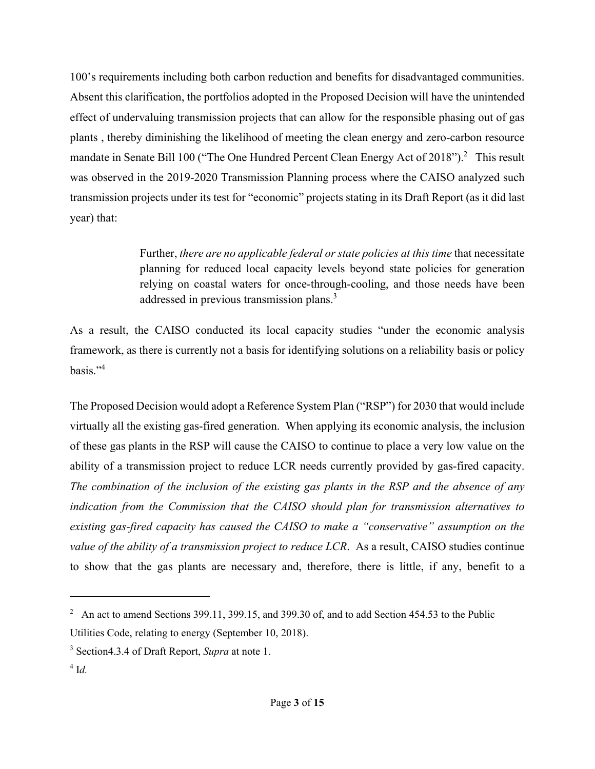100's requirements including both carbon reduction and benefits for disadvantaged communities. Absent this clarification, the portfolios adopted in the Proposed Decision will have the unintended effect of undervaluing transmission projects that can allow for the responsible phasing out of gas plants , thereby diminishing the likelihood of meeting the clean energy and zero-carbon resource mandate in Senate Bill 100 ("The One Hundred Percent Clean Energy Act of 2018").<sup>2</sup> This result was observed in the 2019-2020 Transmission Planning process where the CAISO analyzed such transmission projects under its test for "economic" projects stating in its Draft Report (as it did last year) that:

> Further, *there are no applicable federal or state policies at this time* that necessitate planning for reduced local capacity levels beyond state policies for generation relying on coastal waters for once-through-cooling, and those needs have been addressed in previous transmission plans.<sup>3</sup>

As a result, the CAISO conducted its local capacity studies "under the economic analysis framework, as there is currently not a basis for identifying solutions on a reliability basis or policy basis."4

The Proposed Decision would adopt a Reference System Plan ("RSP") for 2030 that would include virtually all the existing gas-fired generation. When applying its economic analysis, the inclusion of these gas plants in the RSP will cause the CAISO to continue to place a very low value on the ability of a transmission project to reduce LCR needs currently provided by gas-fired capacity. *The combination of the inclusion of the existing gas plants in the RSP and the absence of any indication from the Commission that the CAISO should plan for transmission alternatives to existing gas-fired capacity has caused the CAISO to make a "conservative" assumption on the value of the ability of a transmission project to reduce LCR*. As a result, CAISO studies continue to show that the gas plants are necessary and, therefore, there is little, if any, benefit to a

<sup>&</sup>lt;sup>2</sup> An act to amend Sections 399.11, 399.15, and 399.30 of, and to add Section 454.53 to the Public Utilities Code, relating to energy (September 10, 2018).

<sup>3</sup> Section4.3.4 of Draft Report, *Supra* at note 1.

<sup>4</sup> I*d.*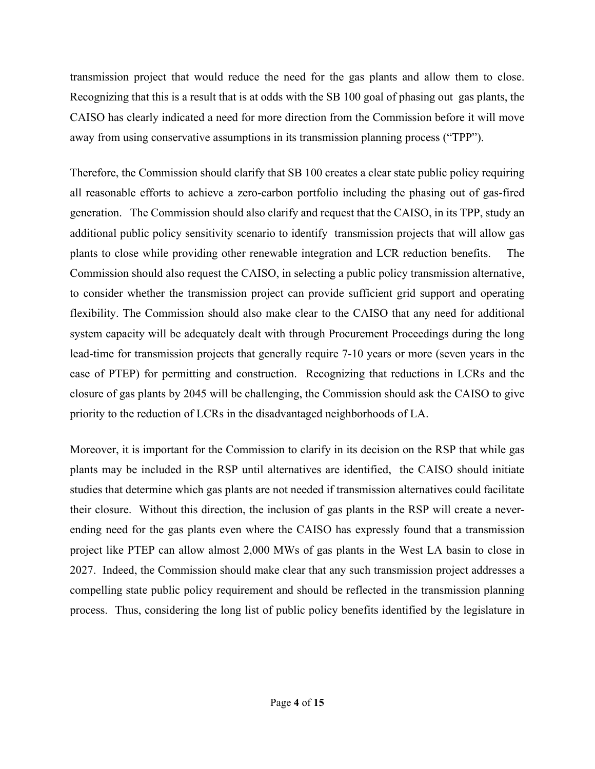transmission project that would reduce the need for the gas plants and allow them to close. Recognizing that this is a result that is at odds with the SB 100 goal of phasing out gas plants, the CAISO has clearly indicated a need for more direction from the Commission before it will move away from using conservative assumptions in its transmission planning process ("TPP").

Therefore, the Commission should clarify that SB 100 creates a clear state public policy requiring all reasonable efforts to achieve a zero-carbon portfolio including the phasing out of gas-fired generation. The Commission should also clarify and request that the CAISO, in its TPP, study an additional public policy sensitivity scenario to identify transmission projects that will allow gas plants to close while providing other renewable integration and LCR reduction benefits. The Commission should also request the CAISO, in selecting a public policy transmission alternative, to consider whether the transmission project can provide sufficient grid support and operating flexibility. The Commission should also make clear to the CAISO that any need for additional system capacity will be adequately dealt with through Procurement Proceedings during the long lead-time for transmission projects that generally require 7-10 years or more (seven years in the case of PTEP) for permitting and construction. Recognizing that reductions in LCRs and the closure of gas plants by 2045 will be challenging, the Commission should ask the CAISO to give priority to the reduction of LCRs in the disadvantaged neighborhoods of LA.

Moreover, it is important for the Commission to clarify in its decision on the RSP that while gas plants may be included in the RSP until alternatives are identified, the CAISO should initiate studies that determine which gas plants are not needed if transmission alternatives could facilitate their closure. Without this direction, the inclusion of gas plants in the RSP will create a neverending need for the gas plants even where the CAISO has expressly found that a transmission project like PTEP can allow almost 2,000 MWs of gas plants in the West LA basin to close in 2027. Indeed, the Commission should make clear that any such transmission project addresses a compelling state public policy requirement and should be reflected in the transmission planning process. Thus, considering the long list of public policy benefits identified by the legislature in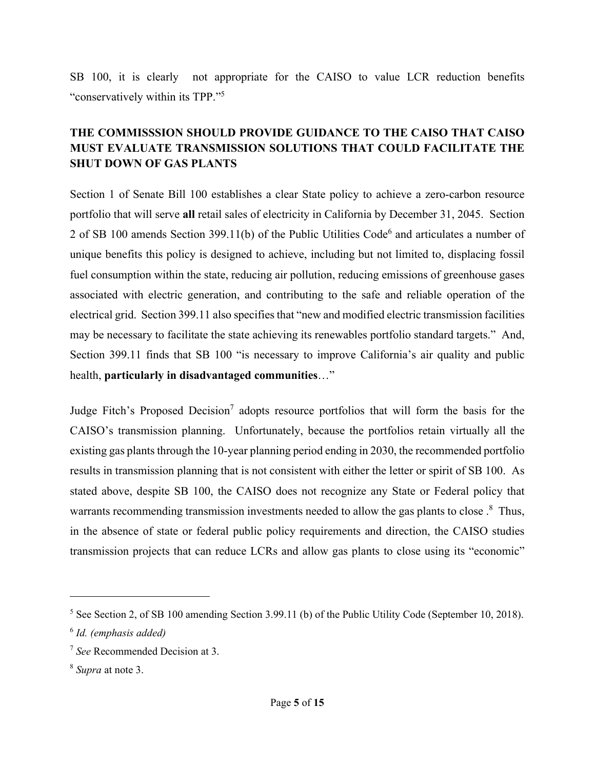SB 100, it is clearly not appropriate for the CAISO to value LCR reduction benefits "conservatively within its TPP."5

### **THE COMMISSSION SHOULD PROVIDE GUIDANCE TO THE CAISO THAT CAISO MUST EVALUATE TRANSMISSION SOLUTIONS THAT COULD FACILITATE THE SHUT DOWN OF GAS PLANTS**

Section 1 of Senate Bill 100 establishes a clear State policy to achieve a zero-carbon resource portfolio that will serve **all** retail sales of electricity in California by December 31, 2045. Section 2 of SB 100 amends Section 399.11(b) of the Public Utilities Code<sup>6</sup> and articulates a number of unique benefits this policy is designed to achieve, including but not limited to, displacing fossil fuel consumption within the state, reducing air pollution, reducing emissions of greenhouse gases associated with electric generation, and contributing to the safe and reliable operation of the electrical grid. Section 399.11 also specifies that "new and modified electric transmission facilities may be necessary to facilitate the state achieving its renewables portfolio standard targets." And, Section 399.11 finds that SB 100 "is necessary to improve California's air quality and public health, **particularly in disadvantaged communities**…"

Judge Fitch's Proposed Decision<sup>7</sup> adopts resource portfolios that will form the basis for the CAISO's transmission planning. Unfortunately, because the portfolios retain virtually all the existing gas plants through the 10-year planning period ending in 2030, the recommended portfolio results in transmission planning that is not consistent with either the letter or spirit of SB 100. As stated above, despite SB 100, the CAISO does not recognize any State or Federal policy that warrants recommending transmission investments needed to allow the gas plants to close.<sup>8</sup> Thus, in the absence of state or federal public policy requirements and direction, the CAISO studies transmission projects that can reduce LCRs and allow gas plants to close using its "economic"

<sup>&</sup>lt;sup>5</sup> See Section 2, of SB 100 amending Section 3.99.11 (b) of the Public Utility Code (September 10, 2018).

<sup>6</sup> *Id. (emphasis added)*

<sup>7</sup> *See* Recommended Decision at 3.

<sup>8</sup> *Supra* at note 3.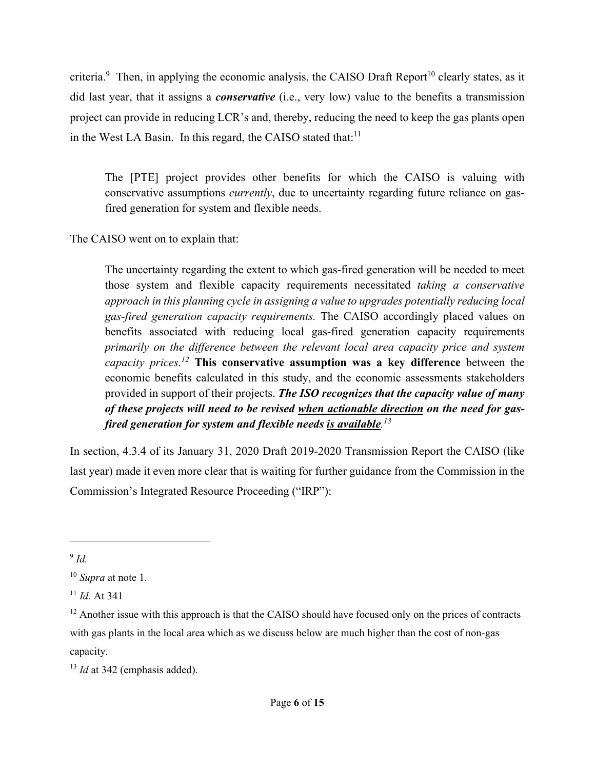criteria.<sup>9</sup> Then, in applying the economic analysis, the CAISO Draft Report<sup>10</sup> clearly states, as it did last year, that it assigns a *conservative* (i.e., very low) value to the benefits a transmission project can provide in reducing LCR's and, thereby, reducing the need to keep the gas plants open in the West LA Basin. In this regard, the CAISO stated that: $11$ 

The [PTE] project provides other benefits for which the CAISO is valuing with conservative assumptions *currently*, due to uncertainty regarding future reliance on gasfired generation for system and flexible needs.

The CAISO went on to explain that:

The uncertainty regarding the extent to which gas-fired generation will be needed to meet those system and flexible capacity requirements necessitated *taking a conservative approach in this planning cycle in assigning a value to upgrades potentially reducing local gas-fired generation capacity requirements.* The CAISO accordingly placed values on benefits associated with reducing local gas-fired generation capacity requirements *primarily on the difference between the relevant local area capacity price and system capacity prices.12* **This conservative assumption was a key difference** between the economic benefits calculated in this study, and the economic assessments stakeholders provided in support of their projects. *The ISO recognizes that the capacity value of many of these projects will need to be revised when actionable direction on the need for gasfired generation for system and flexible needs is available. 13*

In section, 4.3.4 of its January 31, 2020 Draft 2019-2020 Transmission Report the CAISO (like last year) made it even more clear that is waiting for further guidance from the Commission in the Commission's Integrated Resource Proceeding ("IRP"):

<sup>9</sup> *Id.*

<sup>10</sup> *Supra* at note 1.

<sup>11</sup> *Id.* At 341

 $12$  Another issue with this approach is that the CAISO should have focused only on the prices of contracts with gas plants in the local area which as we discuss below are much higher than the cost of non-gas capacity.

<sup>&</sup>lt;sup>13</sup> *Id* at 342 (emphasis added).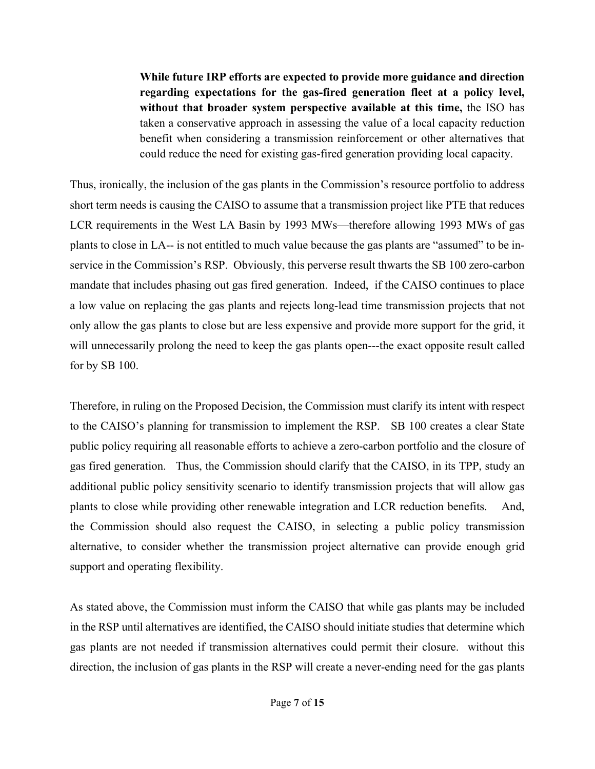**While future IRP efforts are expected to provide more guidance and direction regarding expectations for the gas-fired generation fleet at a policy level, without that broader system perspective available at this time,** the ISO has taken a conservative approach in assessing the value of a local capacity reduction benefit when considering a transmission reinforcement or other alternatives that could reduce the need for existing gas-fired generation providing local capacity.

Thus, ironically, the inclusion of the gas plants in the Commission's resource portfolio to address short term needs is causing the CAISO to assume that a transmission project like PTE that reduces LCR requirements in the West LA Basin by 1993 MWs—therefore allowing 1993 MWs of gas plants to close in LA-- is not entitled to much value because the gas plants are "assumed" to be inservice in the Commission's RSP. Obviously, this perverse result thwarts the SB 100 zero-carbon mandate that includes phasing out gas fired generation. Indeed, if the CAISO continues to place a low value on replacing the gas plants and rejects long-lead time transmission projects that not only allow the gas plants to close but are less expensive and provide more support for the grid, it will unnecessarily prolong the need to keep the gas plants open---the exact opposite result called for by SB 100.

Therefore, in ruling on the Proposed Decision, the Commission must clarify its intent with respect to the CAISO's planning for transmission to implement the RSP. SB 100 creates a clear State public policy requiring all reasonable efforts to achieve a zero-carbon portfolio and the closure of gas fired generation. Thus, the Commission should clarify that the CAISO, in its TPP, study an additional public policy sensitivity scenario to identify transmission projects that will allow gas plants to close while providing other renewable integration and LCR reduction benefits. And, the Commission should also request the CAISO, in selecting a public policy transmission alternative, to consider whether the transmission project alternative can provide enough grid support and operating flexibility.

As stated above, the Commission must inform the CAISO that while gas plants may be included in the RSP until alternatives are identified, the CAISO should initiate studies that determine which gas plants are not needed if transmission alternatives could permit their closure. without this direction, the inclusion of gas plants in the RSP will create a never-ending need for the gas plants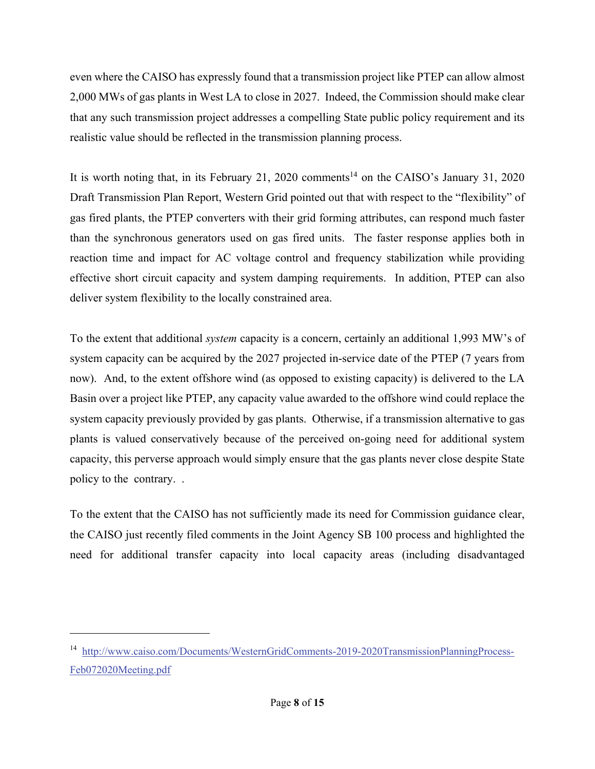even where the CAISO has expressly found that a transmission project like PTEP can allow almost 2,000 MWs of gas plants in West LA to close in 2027. Indeed, the Commission should make clear that any such transmission project addresses a compelling State public policy requirement and its realistic value should be reflected in the transmission planning process.

It is worth noting that, in its February 21, 2020 comments<sup>14</sup> on the CAISO's January 31, 2020 Draft Transmission Plan Report, Western Grid pointed out that with respect to the "flexibility" of gas fired plants, the PTEP converters with their grid forming attributes, can respond much faster than the synchronous generators used on gas fired units. The faster response applies both in reaction time and impact for AC voltage control and frequency stabilization while providing effective short circuit capacity and system damping requirements. In addition, PTEP can also deliver system flexibility to the locally constrained area.

To the extent that additional *system* capacity is a concern, certainly an additional 1,993 MW's of system capacity can be acquired by the 2027 projected in-service date of the PTEP (7 years from now). And, to the extent offshore wind (as opposed to existing capacity) is delivered to the LA Basin over a project like PTEP, any capacity value awarded to the offshore wind could replace the system capacity previously provided by gas plants. Otherwise, if a transmission alternative to gas plants is valued conservatively because of the perceived on-going need for additional system capacity, this perverse approach would simply ensure that the gas plants never close despite State policy to the contrary. .

To the extent that the CAISO has not sufficiently made its need for Commission guidance clear, the CAISO just recently filed comments in the Joint Agency SB 100 process and highlighted the need for additional transfer capacity into local capacity areas (including disadvantaged

<sup>14</sup> http://www.caiso.com/Documents/WesternGridComments-2019-2020TransmissionPlanningProcess-Feb072020Meeting.pdf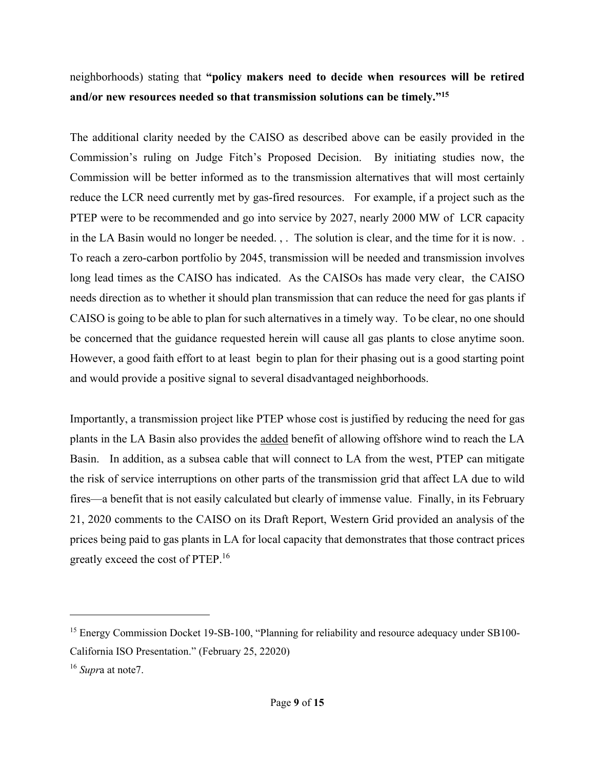neighborhoods) stating that **"policy makers need to decide when resources will be retired and/or new resources needed so that transmission solutions can be timely."15**

The additional clarity needed by the CAISO as described above can be easily provided in the Commission's ruling on Judge Fitch's Proposed Decision. By initiating studies now, the Commission will be better informed as to the transmission alternatives that will most certainly reduce the LCR need currently met by gas-fired resources. For example, if a project such as the PTEP were to be recommended and go into service by 2027, nearly 2000 MW of LCR capacity in the LA Basin would no longer be needed. , . The solution is clear, and the time for it is now. . To reach a zero-carbon portfolio by 2045, transmission will be needed and transmission involves long lead times as the CAISO has indicated. As the CAISOs has made very clear, the CAISO needs direction as to whether it should plan transmission that can reduce the need for gas plants if CAISO is going to be able to plan for such alternatives in a timely way. To be clear, no one should be concerned that the guidance requested herein will cause all gas plants to close anytime soon. However, a good faith effort to at least begin to plan for their phasing out is a good starting point and would provide a positive signal to several disadvantaged neighborhoods.

Importantly, a transmission project like PTEP whose cost is justified by reducing the need for gas plants in the LA Basin also provides the added benefit of allowing offshore wind to reach the LA Basin. In addition, as a subsea cable that will connect to LA from the west, PTEP can mitigate the risk of service interruptions on other parts of the transmission grid that affect LA due to wild fires—a benefit that is not easily calculated but clearly of immense value. Finally, in its February 21, 2020 comments to the CAISO on its Draft Report, Western Grid provided an analysis of the prices being paid to gas plants in LA for local capacity that demonstrates that those contract prices greatly exceed the cost of PTEP.16

<sup>&</sup>lt;sup>15</sup> Energy Commission Docket 19-SB-100, "Planning for reliability and resource adequacy under SB100-California ISO Presentation." (February 25, 22020)

<sup>16</sup> *Supr*a at note7.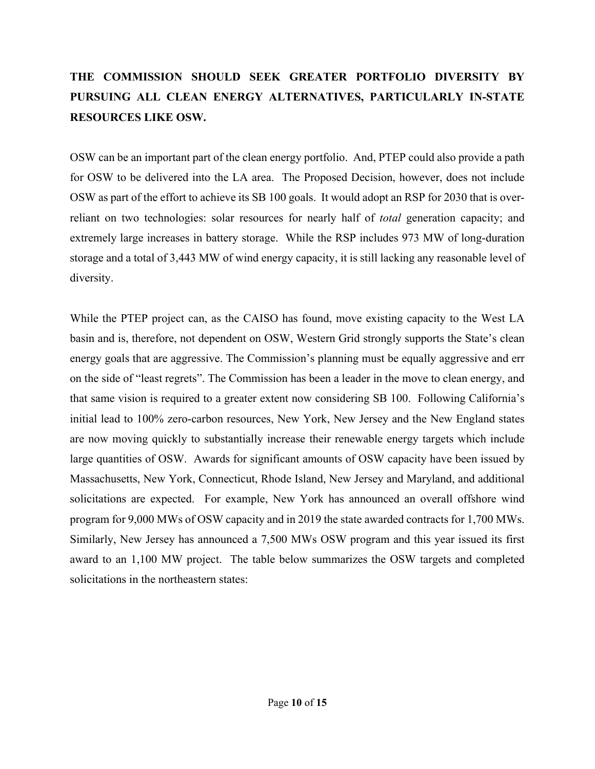## **THE COMMISSION SHOULD SEEK GREATER PORTFOLIO DIVERSITY BY PURSUING ALL CLEAN ENERGY ALTERNATIVES, PARTICULARLY IN-STATE RESOURCES LIKE OSW.**

OSW can be an important part of the clean energy portfolio. And, PTEP could also provide a path for OSW to be delivered into the LA area. The Proposed Decision, however, does not include OSW as part of the effort to achieve its SB 100 goals. It would adopt an RSP for 2030 that is overreliant on two technologies: solar resources for nearly half of *total* generation capacity; and extremely large increases in battery storage. While the RSP includes 973 MW of long-duration storage and a total of 3,443 MW of wind energy capacity, it is still lacking any reasonable level of diversity.

While the PTEP project can, as the CAISO has found, move existing capacity to the West LA basin and is, therefore, not dependent on OSW, Western Grid strongly supports the State's clean energy goals that are aggressive. The Commission's planning must be equally aggressive and err on the side of "least regrets". The Commission has been a leader in the move to clean energy, and that same vision is required to a greater extent now considering SB 100. Following California's initial lead to 100% zero-carbon resources, New York, New Jersey and the New England states are now moving quickly to substantially increase their renewable energy targets which include large quantities of OSW. Awards for significant amounts of OSW capacity have been issued by Massachusetts, New York, Connecticut, Rhode Island, New Jersey and Maryland, and additional solicitations are expected. For example, New York has announced an overall offshore wind program for 9,000 MWs of OSW capacity and in 2019 the state awarded contracts for 1,700 MWs. Similarly, New Jersey has announced a 7,500 MWs OSW program and this year issued its first award to an 1,100 MW project. The table below summarizes the OSW targets and completed solicitations in the northeastern states: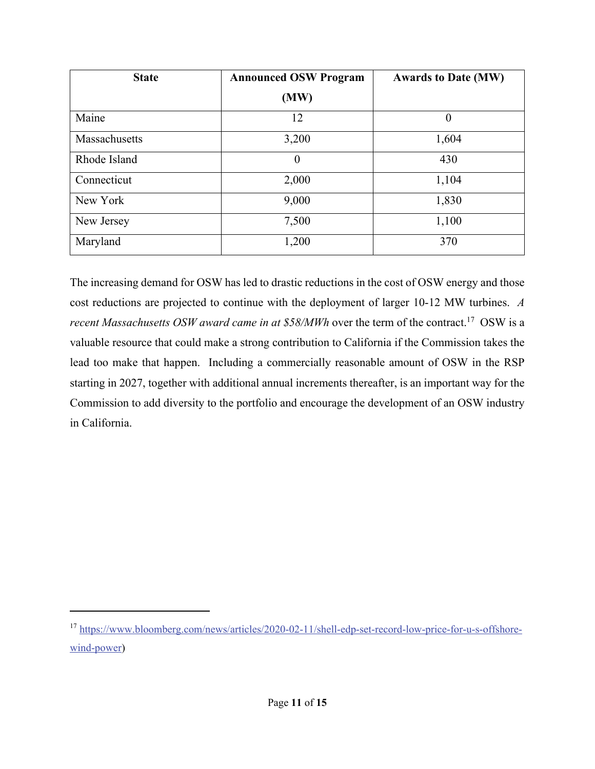| <b>State</b>  | <b>Announced OSW Program</b> | <b>Awards to Date (MW)</b> |
|---------------|------------------------------|----------------------------|
|               | (MW)                         |                            |
| Maine         | 12                           | $\boldsymbol{0}$           |
| Massachusetts | 3,200                        | 1,604                      |
| Rhode Island  | $\theta$                     | 430                        |
| Connecticut   | 2,000                        | 1,104                      |
| New York      | 9,000                        | 1,830                      |
| New Jersey    | 7,500                        | 1,100                      |
| Maryland      | 1,200                        | 370                        |

The increasing demand for OSW has led to drastic reductions in the cost of OSW energy and those cost reductions are projected to continue with the deployment of larger 10-12 MW turbines. *A recent Massachusetts OSW award came in at \$58/MWh* over the term of the contract.<sup>17</sup> OSW is a valuable resource that could make a strong contribution to California if the Commission takes the lead too make that happen. Including a commercially reasonable amount of OSW in the RSP starting in 2027, together with additional annual increments thereafter, is an important way for the Commission to add diversity to the portfolio and encourage the development of an OSW industry in California.

<sup>17</sup> https://www.bloomberg.com/news/articles/2020-02-11/shell-edp-set-record-low-price-for-u-s-offshorewind-power)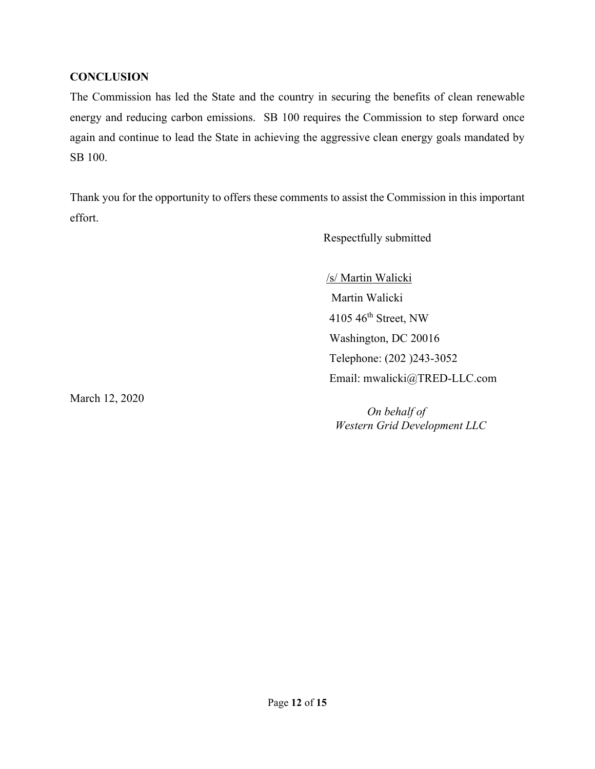#### **CONCLUSION**

The Commission has led the State and the country in securing the benefits of clean renewable energy and reducing carbon emissions. SB 100 requires the Commission to step forward once again and continue to lead the State in achieving the aggressive clean energy goals mandated by SB 100.

Thank you for the opportunity to offers these comments to assist the Commission in this important effort.

Respectfully submitted

/s/ Martin Walicki

Martin Walicki 4105 46th Street, NW Washington, DC 20016 Telephone: (202 )243-3052 Email: mwalicki@TRED-LLC.com

March 12, 2020

 *On behalf of Western Grid Development LLC*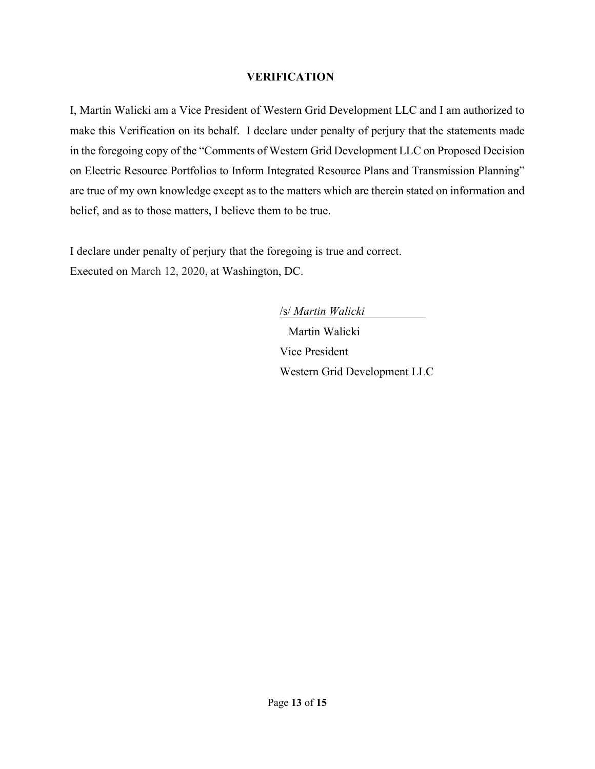#### **VERIFICATION**

I, Martin Walicki am a Vice President of Western Grid Development LLC and I am authorized to make this Verification on its behalf. I declare under penalty of perjury that the statements made in the foregoing copy of the "Comments of Western Grid Development LLC on Proposed Decision on Electric Resource Portfolios to Inform Integrated Resource Plans and Transmission Planning" are true of my own knowledge except as to the matters which are therein stated on information and belief, and as to those matters, I believe them to be true.

I declare under penalty of perjury that the foregoing is true and correct. Executed on March 12, 2020, at Washington, DC.

> /s/ *Martin Walicki*  Martin Walicki Vice President Western Grid Development LLC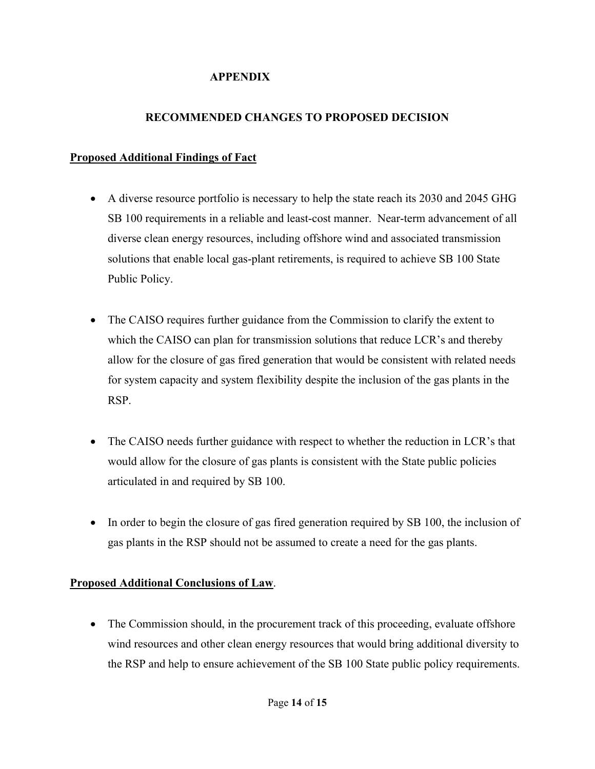#### **APPENDIX**

### **RECOMMENDED CHANGES TO PROPOSED DECISION**

#### **Proposed Additional Findings of Fact**

- A diverse resource portfolio is necessary to help the state reach its 2030 and 2045 GHG SB 100 requirements in a reliable and least-cost manner. Near-term advancement of all diverse clean energy resources, including offshore wind and associated transmission solutions that enable local gas-plant retirements, is required to achieve SB 100 State Public Policy.
- The CAISO requires further guidance from the Commission to clarify the extent to which the CAISO can plan for transmission solutions that reduce LCR's and thereby allow for the closure of gas fired generation that would be consistent with related needs for system capacity and system flexibility despite the inclusion of the gas plants in the RSP.
- The CAISO needs further guidance with respect to whether the reduction in LCR's that would allow for the closure of gas plants is consistent with the State public policies articulated in and required by SB 100.
- In order to begin the closure of gas fired generation required by SB 100, the inclusion of gas plants in the RSP should not be assumed to create a need for the gas plants.

### **Proposed Additional Conclusions of Law**.

• The Commission should, in the procurement track of this proceeding, evaluate offshore wind resources and other clean energy resources that would bring additional diversity to the RSP and help to ensure achievement of the SB 100 State public policy requirements.